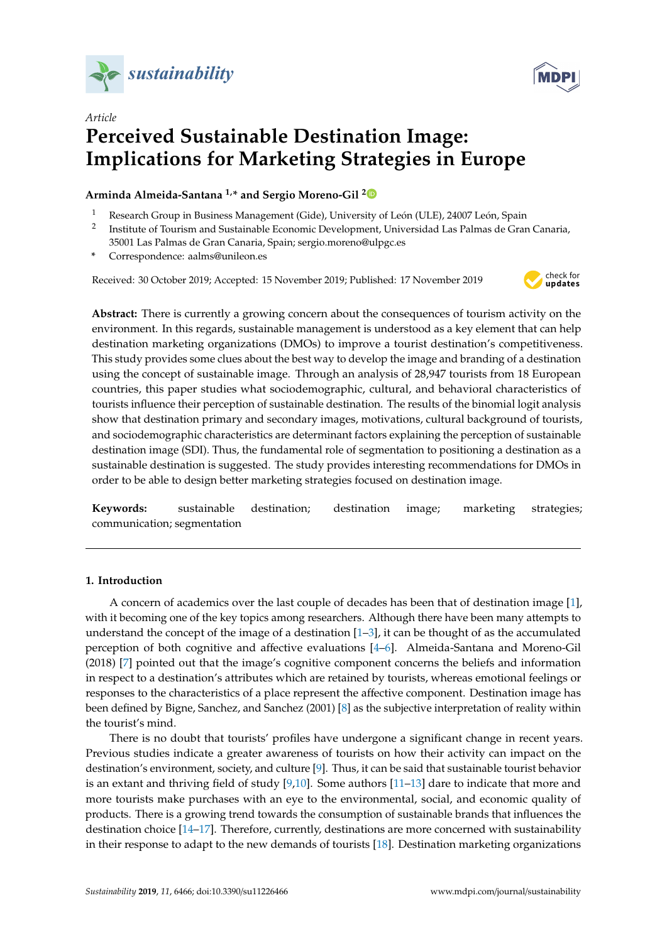



# *Article* **Perceived Sustainable Destination Image: Implications for Marketing Strategies in Europe**

# **Arminda Almeida-Santana 1,\* and Sergio Moreno-Gil [2](https://orcid.org/0000-0001-6905-8073)**

- <sup>1</sup> Research Group in Business Management (Gide), University of León (ULE), 24007 León, Spain
- 2 Institute of Tourism and Sustainable Economic Development, Universidad Las Palmas de Gran Canaria, 35001 Las Palmas de Gran Canaria, Spain; sergio.moreno@ulpgc.es
- **\*** Correspondence: aalms@unileon.es

Received: 30 October 2019; Accepted: 15 November 2019; Published: 17 November 2019



**Abstract:** There is currently a growing concern about the consequences of tourism activity on the environment. In this regards, sustainable management is understood as a key element that can help destination marketing organizations (DMOs) to improve a tourist destination's competitiveness. This study provides some clues about the best way to develop the image and branding of a destination using the concept of sustainable image. Through an analysis of 28,947 tourists from 18 European countries, this paper studies what sociodemographic, cultural, and behavioral characteristics of tourists influence their perception of sustainable destination. The results of the binomial logit analysis show that destination primary and secondary images, motivations, cultural background of tourists, and sociodemographic characteristics are determinant factors explaining the perception of sustainable destination image (SDI). Thus, the fundamental role of segmentation to positioning a destination as a sustainable destination is suggested. The study provides interesting recommendations for DMOs in order to be able to design better marketing strategies focused on destination image.

**Keywords:** sustainable destination; destination image; marketing strategies; communication; segmentation

## **1. Introduction**

A concern of academics over the last couple of decades has been that of destination image [\[1\]](#page-8-0), with it becoming one of the key topics among researchers. Although there have been many attempts to understand the concept of the image of a destination  $[1-3]$  $[1-3]$ , it can be thought of as the accumulated perception of both cognitive and affective evaluations [\[4–](#page-8-2)[6\]](#page-8-3). Almeida-Santana and Moreno-Gil (2018) [\[7\]](#page-8-4) pointed out that the image's cognitive component concerns the beliefs and information in respect to a destination's attributes which are retained by tourists, whereas emotional feelings or responses to the characteristics of a place represent the affective component. Destination image has been defined by Bigne, Sanchez, and Sanchez (2001) [\[8\]](#page-8-5) as the subjective interpretation of reality within the tourist's mind.

There is no doubt that tourists' profiles have undergone a significant change in recent years. Previous studies indicate a greater awareness of tourists on how their activity can impact on the destination's environment, society, and culture [\[9\]](#page-8-6). Thus, it can be said that sustainable tourist behavior is an extant and thriving field of study [\[9,](#page-8-6)[10\]](#page-8-7). Some authors [\[11](#page-8-8)[–13\]](#page-8-9) dare to indicate that more and more tourists make purchases with an eye to the environmental, social, and economic quality of products. There is a growing trend towards the consumption of sustainable brands that influences the destination choice [\[14–](#page-8-10)[17\]](#page-8-11). Therefore, currently, destinations are more concerned with sustainability in their response to adapt to the new demands of tourists [\[18\]](#page-8-12). Destination marketing organizations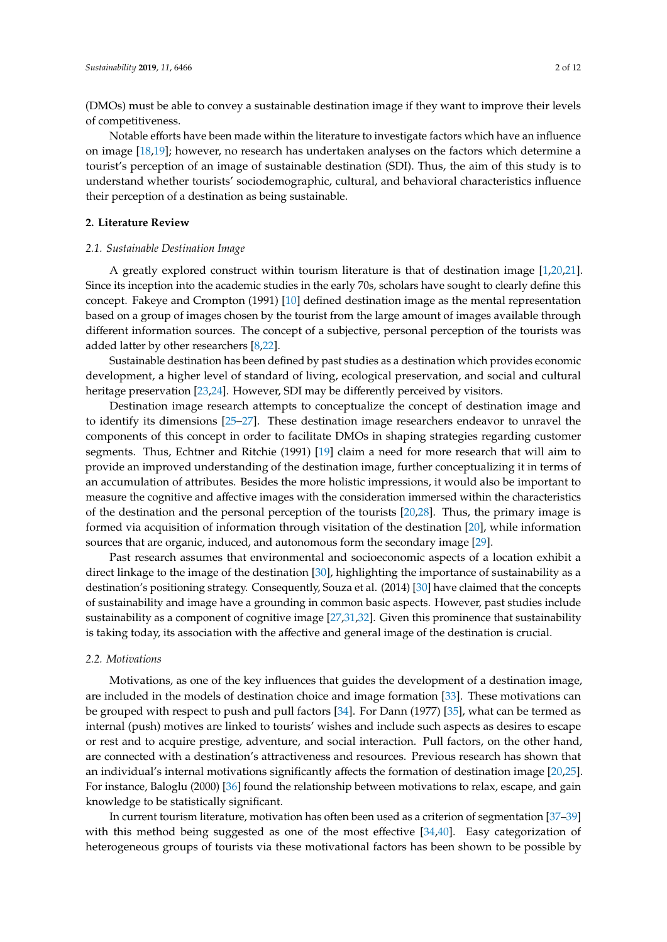(DMOs) must be able to convey a sustainable destination image if they want to improve their levels of competitiveness.

Notable efforts have been made within the literature to investigate factors which have an influence on image [\[18](#page-8-12)[,19\]](#page-8-13); however, no research has undertaken analyses on the factors which determine a tourist's perception of an image of sustainable destination (SDI). Thus, the aim of this study is to understand whether tourists' sociodemographic, cultural, and behavioral characteristics influence their perception of a destination as being sustainable.

### **2. Literature Review**

### *2.1. Sustainable Destination Image*

A greatly explored construct within tourism literature is that of destination image [\[1,](#page-8-0)[20,](#page-8-14)[21\]](#page-8-15). Since its inception into the academic studies in the early 70s, scholars have sought to clearly define this concept. Fakeye and Crompton (1991) [\[10\]](#page-8-7) defined destination image as the mental representation based on a group of images chosen by the tourist from the large amount of images available through different information sources. The concept of a subjective, personal perception of the tourists was added latter by other researchers [\[8,](#page-8-5)[22\]](#page-9-0).

Sustainable destination has been defined by past studies as a destination which provides economic development, a higher level of standard of living, ecological preservation, and social and cultural heritage preservation [\[23,](#page-9-1)[24\]](#page-9-2). However, SDI may be differently perceived by visitors.

Destination image research attempts to conceptualize the concept of destination image and to identify its dimensions [\[25](#page-9-3)[–27\]](#page-9-4). These destination image researchers endeavor to unravel the components of this concept in order to facilitate DMOs in shaping strategies regarding customer segments. Thus, Echtner and Ritchie (1991) [\[19\]](#page-8-13) claim a need for more research that will aim to provide an improved understanding of the destination image, further conceptualizing it in terms of an accumulation of attributes. Besides the more holistic impressions, it would also be important to measure the cognitive and affective images with the consideration immersed within the characteristics of the destination and the personal perception of the tourists [\[20,](#page-8-14)[28\]](#page-9-5). Thus, the primary image is formed via acquisition of information through visitation of the destination [\[20\]](#page-8-14), while information sources that are organic, induced, and autonomous form the secondary image [\[29\]](#page-9-6).

Past research assumes that environmental and socioeconomic aspects of a location exhibit a direct linkage to the image of the destination [\[30\]](#page-9-7), highlighting the importance of sustainability as a destination's positioning strategy. Consequently, Souza et al. (2014) [\[30\]](#page-9-7) have claimed that the concepts of sustainability and image have a grounding in common basic aspects. However, past studies include sustainability as a component of cognitive image [\[27](#page-9-4)[,31](#page-9-8)[,32\]](#page-9-9). Given this prominence that sustainability is taking today, its association with the affective and general image of the destination is crucial.

#### *2.2. Motivations*

Motivations, as one of the key influences that guides the development of a destination image, are included in the models of destination choice and image formation [\[33\]](#page-9-10). These motivations can be grouped with respect to push and pull factors [\[34\]](#page-9-11). For Dann (1977) [\[35\]](#page-9-12), what can be termed as internal (push) motives are linked to tourists' wishes and include such aspects as desires to escape or rest and to acquire prestige, adventure, and social interaction. Pull factors, on the other hand, are connected with a destination's attractiveness and resources. Previous research has shown that an individual's internal motivations significantly affects the formation of destination image [\[20,](#page-8-14)[25\]](#page-9-3). For instance, Baloglu (2000) [\[36\]](#page-9-13) found the relationship between motivations to relax, escape, and gain knowledge to be statistically significant.

In current tourism literature, motivation has often been used as a criterion of segmentation [\[37–](#page-9-14)[39\]](#page-9-15) with this method being suggested as one of the most effective [\[34](#page-9-11)[,40\]](#page-9-16). Easy categorization of heterogeneous groups of tourists via these motivational factors has been shown to be possible by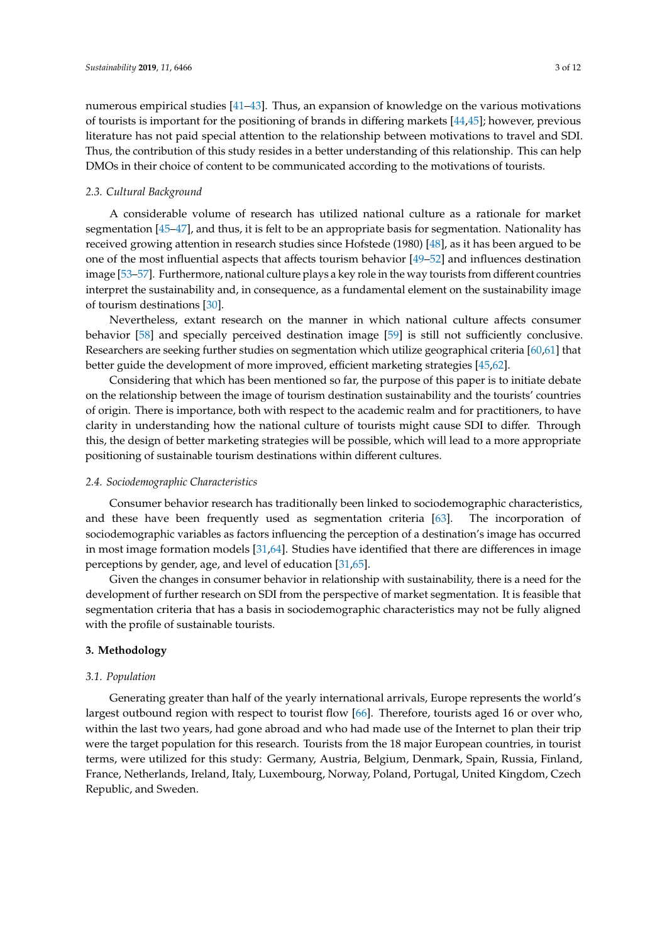numerous empirical studies [\[41](#page-9-17)[–43\]](#page-9-18). Thus, an expansion of knowledge on the various motivations of tourists is important for the positioning of brands in differing markets [\[44](#page-9-19)[,45\]](#page-9-20); however, previous literature has not paid special attention to the relationship between motivations to travel and SDI. Thus, the contribution of this study resides in a better understanding of this relationship. This can help DMOs in their choice of content to be communicated according to the motivations of tourists.

### *2.3. Cultural Background*

A considerable volume of research has utilized national culture as a rationale for market segmentation [\[45–](#page-9-20)[47\]](#page-9-21), and thus, it is felt to be an appropriate basis for segmentation. Nationality has received growing attention in research studies since Hofstede (1980) [\[48\]](#page-10-0), as it has been argued to be one of the most influential aspects that affects tourism behavior [\[49–](#page-10-1)[52\]](#page-10-2) and influences destination image [\[53–](#page-10-3)[57\]](#page-10-4). Furthermore, national culture plays a key role in the way tourists from different countries interpret the sustainability and, in consequence, as a fundamental element on the sustainability image of tourism destinations [\[30\]](#page-9-7).

Nevertheless, extant research on the manner in which national culture affects consumer behavior [\[58\]](#page-10-5) and specially perceived destination image [\[59\]](#page-10-6) is still not sufficiently conclusive. Researchers are seeking further studies on segmentation which utilize geographical criteria [\[60](#page-10-7)[,61\]](#page-10-8) that better guide the development of more improved, efficient marketing strategies [\[45](#page-9-20)[,62\]](#page-10-9).

Considering that which has been mentioned so far, the purpose of this paper is to initiate debate on the relationship between the image of tourism destination sustainability and the tourists' countries of origin. There is importance, both with respect to the academic realm and for practitioners, to have clarity in understanding how the national culture of tourists might cause SDI to differ. Through this, the design of better marketing strategies will be possible, which will lead to a more appropriate positioning of sustainable tourism destinations within different cultures.

#### *2.4. Sociodemographic Characteristics*

Consumer behavior research has traditionally been linked to sociodemographic characteristics, and these have been frequently used as segmentation criteria [\[63\]](#page-10-10). The incorporation of sociodemographic variables as factors influencing the perception of a destination's image has occurred in most image formation models [\[31](#page-9-8)[,64\]](#page-10-11). Studies have identified that there are differences in image perceptions by gender, age, and level of education [\[31](#page-9-8)[,65\]](#page-10-12).

Given the changes in consumer behavior in relationship with sustainability, there is a need for the development of further research on SDI from the perspective of market segmentation. It is feasible that segmentation criteria that has a basis in sociodemographic characteristics may not be fully aligned with the profile of sustainable tourists.

#### **3. Methodology**

### *3.1. Population*

Generating greater than half of the yearly international arrivals, Europe represents the world's largest outbound region with respect to tourist flow [\[66\]](#page-10-13). Therefore, tourists aged 16 or over who, within the last two years, had gone abroad and who had made use of the Internet to plan their trip were the target population for this research. Tourists from the 18 major European countries, in tourist terms, were utilized for this study: Germany, Austria, Belgium, Denmark, Spain, Russia, Finland, France, Netherlands, Ireland, Italy, Luxembourg, Norway, Poland, Portugal, United Kingdom, Czech Republic, and Sweden.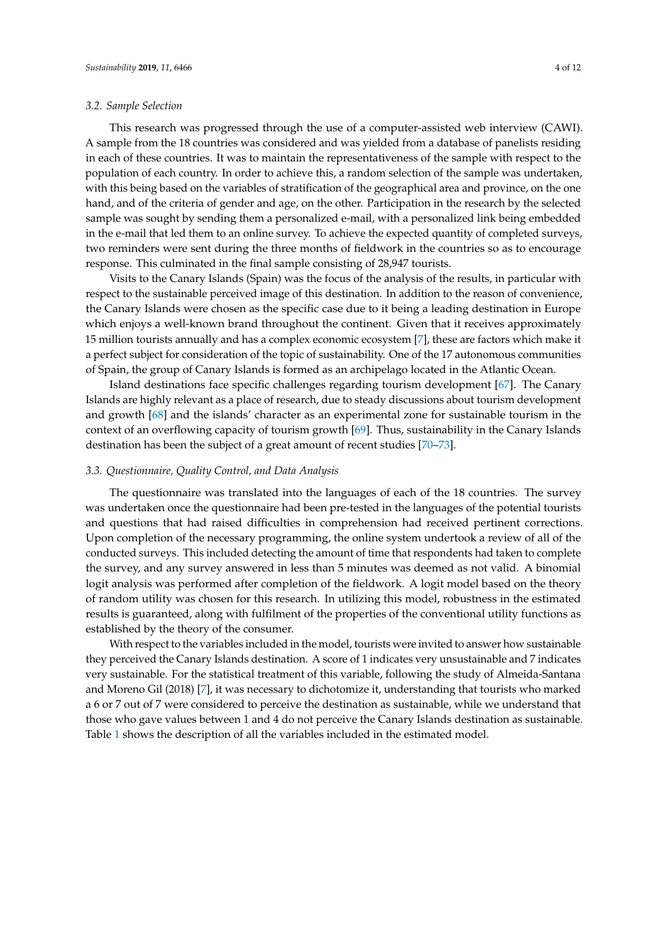#### *3.2. Sample Selection*

This research was progressed through the use of a computer-assisted web interview (CAWI). A sample from the 18 countries was considered and was yielded from a database of panelists residing in each of these countries. It was to maintain the representativeness of the sample with respect to the population of each country. In order to achieve this, a random selection of the sample was undertaken, with this being based on the variables of stratification of the geographical area and province, on the one hand, and of the criteria of gender and age, on the other. Participation in the research by the selected sample was sought by sending them a personalized e-mail, with a personalized link being embedded in the e-mail that led them to an online survey. To achieve the expected quantity of completed surveys, two reminders were sent during the three months of fieldwork in the countries so as to encourage response. This culminated in the final sample consisting of 28,947 tourists.

Visits to the Canary Islands (Spain) was the focus of the analysis of the results, in particular with respect to the sustainable perceived image of this destination. In addition to the reason of convenience, the Canary Islands were chosen as the specific case due to it being a leading destination in Europe which enjoys a well-known brand throughout the continent. Given that it receives approximately 15 million tourists annually and has a complex economic ecosystem [\[7\]](#page-8-4), these are factors which make it a perfect subject for consideration of the topic of sustainability. One of the 17 autonomous communities of Spain, the group of Canary Islands is formed as an archipelago located in the Atlantic Ocean.

Island destinations face specific challenges regarding tourism development [\[67\]](#page-10-14). The Canary Islands are highly relevant as a place of research, due to steady discussions about tourism development and growth [\[68\]](#page-10-15) and the islands' character as an experimental zone for sustainable tourism in the context of an overflowing capacity of tourism growth [\[69\]](#page-10-16). Thus, sustainability in the Canary Islands destination has been the subject of a great amount of recent studies [\[70–](#page-10-17)[73\]](#page-11-0).

#### *3.3. Questionnaire, Quality Control, and Data Analysis*

The questionnaire was translated into the languages of each of the 18 countries. The survey was undertaken once the questionnaire had been pre-tested in the languages of the potential tourists and questions that had raised difficulties in comprehension had received pertinent corrections. Upon completion of the necessary programming, the online system undertook a review of all of the conducted surveys. This included detecting the amount of time that respondents had taken to complete the survey, and any survey answered in less than 5 minutes was deemed as not valid. A binomial logit analysis was performed after completion of the fieldwork. A logit model based on the theory of random utility was chosen for this research. In utilizing this model, robustness in the estimated results is guaranteed, along with fulfilment of the properties of the conventional utility functions as established by the theory of the consumer.

With respect to the variables included in the model, tourists were invited to answer how sustainable they perceived the Canary Islands destination. A score of 1 indicates very unsustainable and 7 indicates very sustainable. For the statistical treatment of this variable, following the study of Almeida-Santana and Moreno Gil (2018) [\[7\]](#page-8-4), it was necessary to dichotomize it, understanding that tourists who marked a 6 or 7 out of 7 were considered to perceive the destination as sustainable, while we understand that those who gave values between 1 and 4 do not perceive the Canary Islands destination as sustainable. Table [1](#page-4-0) shows the description of all the variables included in the estimated model.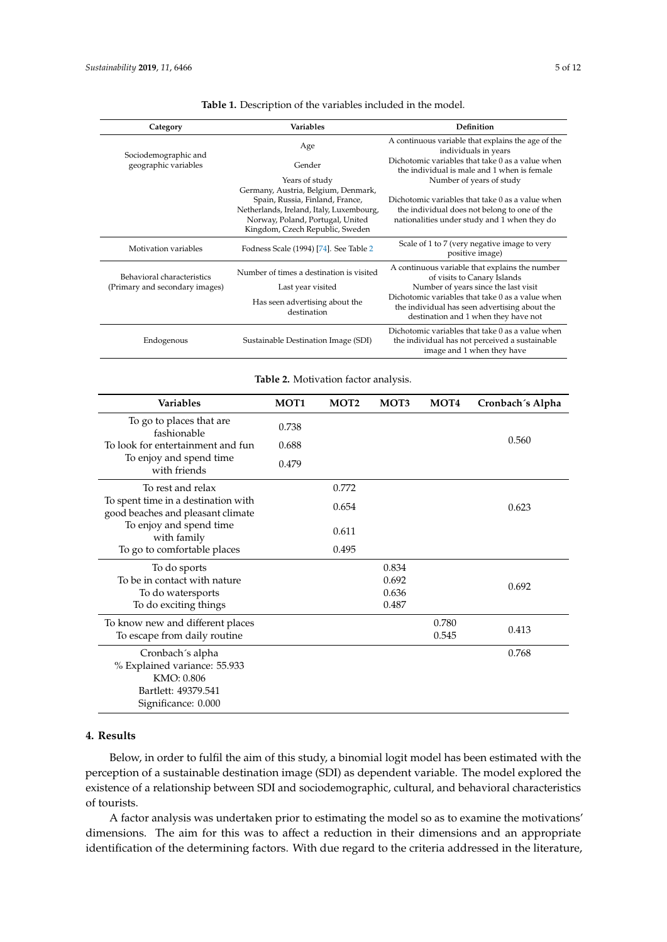<span id="page-4-1"></span><span id="page-4-0"></span>

| Category                                                                                                                | Variables                                                                   |                                                                     |                                                          | Definition                                                                                       |                                                                                                 |                                                |  |
|-------------------------------------------------------------------------------------------------------------------------|-----------------------------------------------------------------------------|---------------------------------------------------------------------|----------------------------------------------------------|--------------------------------------------------------------------------------------------------|-------------------------------------------------------------------------------------------------|------------------------------------------------|--|
| Sociodemographic and                                                                                                    |                                                                             | Age                                                                 |                                                          |                                                                                                  | A continuous variable that explains the age of the<br>individuals in years                      |                                                |  |
| geographic variables                                                                                                    | Gender                                                                      |                                                                     |                                                          |                                                                                                  | Dichotomic variables that take 0 as a value when<br>the individual is male and 1 when is female |                                                |  |
|                                                                                                                         | Years of study                                                              |                                                                     |                                                          | Number of years of study                                                                         |                                                                                                 |                                                |  |
|                                                                                                                         | Germany, Austria, Belgium, Denmark,                                         |                                                                     |                                                          |                                                                                                  |                                                                                                 |                                                |  |
|                                                                                                                         | Spain, Russia, Finland, France,<br>Netherlands, Ireland, Italy, Luxembourg, |                                                                     |                                                          | Dichotomic variables that take 0 as a value when<br>the individual does not belong to one of the |                                                                                                 |                                                |  |
|                                                                                                                         |                                                                             | Norway, Poland, Portugal, United<br>Kingdom, Czech Republic, Sweden |                                                          |                                                                                                  | nationalities under study and 1 when they do                                                    |                                                |  |
|                                                                                                                         |                                                                             |                                                                     |                                                          |                                                                                                  |                                                                                                 |                                                |  |
| Motivation variables                                                                                                    |                                                                             |                                                                     | Fodness Scale (1994) [74]. See Table 2                   |                                                                                                  | Scale of 1 to 7 (very negative image to very<br>positive image)                                 |                                                |  |
| Behavioral characteristics                                                                                              |                                                                             | Number of times a destination is visited                            |                                                          |                                                                                                  |                                                                                                 | A continuous variable that explains the number |  |
| (Primary and secondary images)                                                                                          |                                                                             | Last year visited                                                   |                                                          |                                                                                                  | of visits to Canary Islands<br>Number of years since the last visit                             |                                                |  |
|                                                                                                                         |                                                                             | Has seen advertising about the<br>destination                       |                                                          |                                                                                                  | Dichotomic variables that take 0 as a value when                                                |                                                |  |
|                                                                                                                         |                                                                             |                                                                     |                                                          |                                                                                                  | the individual has seen advertising about the<br>destination and 1 when they have not           |                                                |  |
|                                                                                                                         |                                                                             | Sustainable Destination Image (SDI)                                 |                                                          |                                                                                                  | Dichotomic variables that take 0 as a value when                                                |                                                |  |
| Endogenous                                                                                                              |                                                                             |                                                                     |                                                          |                                                                                                  | the individual has not perceived a sustainable                                                  |                                                |  |
|                                                                                                                         |                                                                             |                                                                     |                                                          |                                                                                                  | image and 1 when they have                                                                      |                                                |  |
| Variables                                                                                                               |                                                                             | MOT <sub>1</sub>                                                    | Table 2. Motivation factor analysis.<br>MOT <sub>2</sub> | MOT3                                                                                             | MOT <sub>4</sub>                                                                                | Cronbach's Alpha                               |  |
| To go to places that are<br>fashionable<br>To look for entertainment and fun<br>To enjoy and spend time<br>with friends |                                                                             |                                                                     |                                                          |                                                                                                  |                                                                                                 |                                                |  |
|                                                                                                                         |                                                                             | 0.738                                                               |                                                          |                                                                                                  |                                                                                                 |                                                |  |
|                                                                                                                         |                                                                             | 0.688                                                               |                                                          |                                                                                                  |                                                                                                 | 0.560                                          |  |
|                                                                                                                         |                                                                             | 0.479                                                               |                                                          |                                                                                                  |                                                                                                 |                                                |  |
|                                                                                                                         |                                                                             |                                                                     |                                                          |                                                                                                  |                                                                                                 |                                                |  |
| To rest and relax                                                                                                       |                                                                             |                                                                     | 0.772                                                    |                                                                                                  |                                                                                                 |                                                |  |
|                                                                                                                         | To spent time in a destination with                                         |                                                                     | 0.654                                                    |                                                                                                  |                                                                                                 | 0.623                                          |  |
| good beaches and pleasant climate<br>To enjoy and spend time                                                            |                                                                             |                                                                     |                                                          |                                                                                                  |                                                                                                 |                                                |  |
|                                                                                                                         |                                                                             |                                                                     | 0.611                                                    |                                                                                                  |                                                                                                 |                                                |  |
| with family                                                                                                             |                                                                             |                                                                     |                                                          |                                                                                                  |                                                                                                 |                                                |  |
| To go to comfortable places                                                                                             |                                                                             |                                                                     | 0.495                                                    |                                                                                                  |                                                                                                 |                                                |  |
| To do sports                                                                                                            |                                                                             |                                                                     |                                                          | 0.834                                                                                            |                                                                                                 |                                                |  |
| To be in contact with nature                                                                                            |                                                                             |                                                                     |                                                          | 0.692                                                                                            |                                                                                                 | 0.692                                          |  |
| To do watersports                                                                                                       |                                                                             |                                                                     |                                                          | 0.636                                                                                            |                                                                                                 |                                                |  |
| To do exciting things                                                                                                   |                                                                             |                                                                     |                                                          | 0.487                                                                                            |                                                                                                 |                                                |  |
| To know new and different places<br>To escape from daily routine                                                        |                                                                             |                                                                     |                                                          |                                                                                                  | 0.780                                                                                           | 0.413                                          |  |
|                                                                                                                         |                                                                             |                                                                     |                                                          |                                                                                                  | 0.545                                                                                           |                                                |  |
| Cronbach's alpha                                                                                                        |                                                                             |                                                                     |                                                          |                                                                                                  |                                                                                                 | 0.768                                          |  |
| % Explained variance: 55.933                                                                                            |                                                                             |                                                                     |                                                          |                                                                                                  |                                                                                                 |                                                |  |
| KMO: 0.806                                                                                                              |                                                                             |                                                                     |                                                          |                                                                                                  |                                                                                                 |                                                |  |

**Table 1.** Description of the variables included in the model.

#### **4. Results**

Bartlett: 49379.541 Significance: 0.000

Below, in order to fulfil the aim of this study, a binomial logit model has been estimated with the perception of a sustainable destination image (SDI) as dependent variable. The model explored the existence of a relationship between SDI and sociodemographic, cultural, and behavioral characteristics of tourists.

A factor analysis was undertaken prior to estimating the model so as to examine the motivations' dimensions. The aim for this was to affect a reduction in their dimensions and an appropriate identification of the determining factors. With due regard to the criteria addressed in the literature,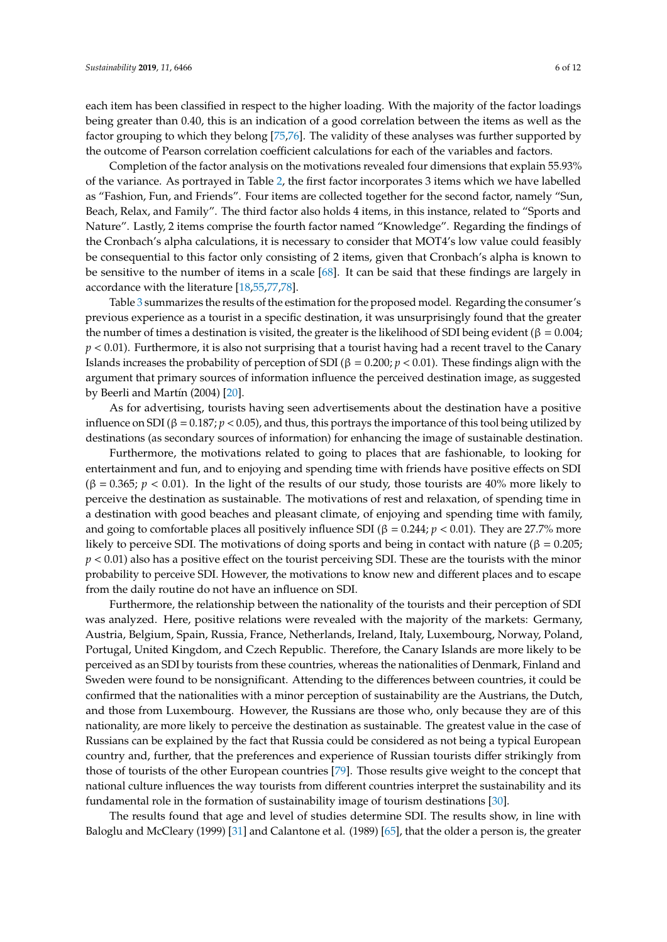each item has been classified in respect to the higher loading. With the majority of the factor loadings being greater than 0.40, this is an indication of a good correlation between the items as well as the factor grouping to which they belong [\[75,](#page-11-2)[76\]](#page-11-3). The validity of these analyses was further supported by the outcome of Pearson correlation coefficient calculations for each of the variables and factors.

Completion of the factor analysis on the motivations revealed four dimensions that explain 55.93% of the variance. As portrayed in Table [2,](#page-4-1) the first factor incorporates 3 items which we have labelled as "Fashion, Fun, and Friends". Four items are collected together for the second factor, namely "Sun, Beach, Relax, and Family". The third factor also holds 4 items, in this instance, related to "Sports and Nature". Lastly, 2 items comprise the fourth factor named "Knowledge". Regarding the findings of the Cronbach's alpha calculations, it is necessary to consider that MOT4's low value could feasibly be consequential to this factor only consisting of 2 items, given that Cronbach's alpha is known to be sensitive to the number of items in a scale [\[68\]](#page-10-15). It can be said that these findings are largely in accordance with the literature [\[18](#page-8-12)[,55](#page-10-18)[,77](#page-11-4)[,78\]](#page-11-5).

Table [3](#page-6-0) summarizes the results of the estimation for the proposed model. Regarding the consumer's previous experience as a tourist in a specific destination, it was unsurprisingly found that the greater the number of times a destination is visited, the greater is the likelihood of SDI being evident (β = 0.004; *p* < 0.01). Furthermore, it is also not surprising that a tourist having had a recent travel to the Canary Islands increases the probability of perception of SDI (β = 0.200; *p* < 0.01). These findings align with the argument that primary sources of information influence the perceived destination image, as suggested by Beerli and Martín (2004) [\[20\]](#page-8-14).

As for advertising, tourists having seen advertisements about the destination have a positive influence on SDI ( $\beta = 0.187$ ;  $p < 0.05$ ), and thus, this portrays the importance of this tool being utilized by destinations (as secondary sources of information) for enhancing the image of sustainable destination.

Furthermore, the motivations related to going to places that are fashionable, to looking for entertainment and fun, and to enjoying and spending time with friends have positive effects on SDI  $(β = 0.365; p < 0.01)$ . In the light of the results of our study, those tourists are 40% more likely to perceive the destination as sustainable. The motivations of rest and relaxation, of spending time in a destination with good beaches and pleasant climate, of enjoying and spending time with family, and going to comfortable places all positively influence SDI ( $\beta = 0.244$ ;  $p < 0.01$ ). They are 27.7% more likely to perceive SDI. The motivations of doing sports and being in contact with nature (β = 0.205;  $p < 0.01$ ) also has a positive effect on the tourist perceiving SDI. These are the tourists with the minor probability to perceive SDI. However, the motivations to know new and different places and to escape from the daily routine do not have an influence on SDI.

Furthermore, the relationship between the nationality of the tourists and their perception of SDI was analyzed. Here, positive relations were revealed with the majority of the markets: Germany, Austria, Belgium, Spain, Russia, France, Netherlands, Ireland, Italy, Luxembourg, Norway, Poland, Portugal, United Kingdom, and Czech Republic. Therefore, the Canary Islands are more likely to be perceived as an SDI by tourists from these countries, whereas the nationalities of Denmark, Finland and Sweden were found to be nonsignificant. Attending to the differences between countries, it could be confirmed that the nationalities with a minor perception of sustainability are the Austrians, the Dutch, and those from Luxembourg. However, the Russians are those who, only because they are of this nationality, are more likely to perceive the destination as sustainable. The greatest value in the case of Russians can be explained by the fact that Russia could be considered as not being a typical European country and, further, that the preferences and experience of Russian tourists differ strikingly from those of tourists of the other European countries [\[79\]](#page-11-6). Those results give weight to the concept that national culture influences the way tourists from different countries interpret the sustainability and its fundamental role in the formation of sustainability image of tourism destinations [\[30\]](#page-9-7).

The results found that age and level of studies determine SDI. The results show, in line with Baloglu and McCleary (1999) [\[31\]](#page-9-8) and Calantone et al. (1989) [\[65\]](#page-10-12), that the older a person is, the greater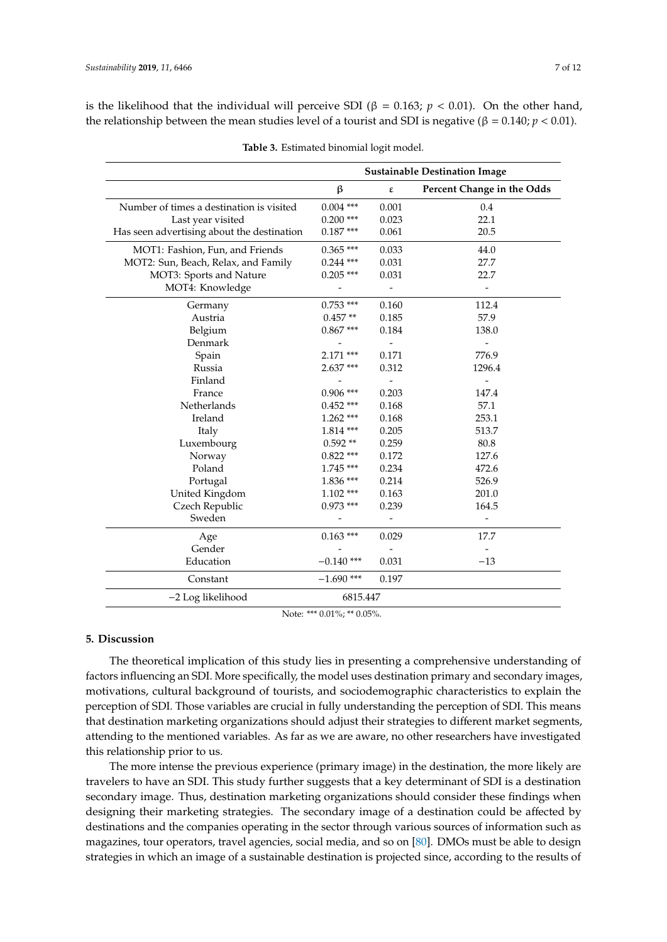is the likelihood that the individual will perceive SDI (β = 0.163;  $p < 0.01$ ). On the other hand, the relationship between the mean studies level of a tourist and SDI is negative (β = 0.140; *p* < 0.01).

<span id="page-6-0"></span>

|                                            | <b>Sustainable Destination Image</b> |                          |                            |  |
|--------------------------------------------|--------------------------------------|--------------------------|----------------------------|--|
|                                            | $\boldsymbol{\beta}$                 | $\pmb{\varepsilon}$      | Percent Change in the Odds |  |
| Number of times a destination is visited   | $0.004$ ***                          | 0.001                    | 0.4                        |  |
| Last year visited                          | $0.200$ ***                          | 0.023                    | 22.1                       |  |
| Has seen advertising about the destination | $0.187***$                           | 0.061                    | 20.5                       |  |
| MOT1: Fashion, Fun, and Friends            | $0.365$ ***                          | 0.033                    | 44.0                       |  |
| MOT2: Sun, Beach, Relax, and Family        | $0.244$ ***                          | 0.031                    | 27.7                       |  |
| MOT3: Sports and Nature                    | $0.205$ ***                          | 0.031                    | 22.7                       |  |
| MOT4: Knowledge                            |                                      | $\Box$                   | $\overline{a}$             |  |
| Germany                                    | $0.753$ ***                          | 0.160                    | 112.4                      |  |
| Austria                                    | $0.457**$                            | 0.185                    | 57.9                       |  |
| Belgium                                    | $0.867***$                           | 0.184                    | 138.0                      |  |
| Denmark                                    |                                      |                          |                            |  |
| Spain                                      | $2.171$ ***                          | 0.171                    | 776.9                      |  |
| Russia                                     | $2.637***$                           | 0.312                    | 1296.4                     |  |
| Finland                                    |                                      | $\overline{\phantom{a}}$ | $\overline{a}$             |  |
| France                                     | $0.906$ ***                          | 0.203                    | 147.4                      |  |
| Netherlands                                | $0.452$ ***                          | 0.168                    | 57.1                       |  |
| Ireland                                    | $1.262$ ***                          | 0.168                    | 253.1                      |  |
| Italy                                      | 1.814 ***                            | 0.205                    | 513.7                      |  |
| Luxembourg                                 | $0.592**$                            | 0.259                    | 80.8                       |  |
| Norway                                     | $0.822$ ***                          | 0.172                    | 127.6                      |  |
| Poland                                     | 1.745 ***                            | 0.234                    | 472.6                      |  |
| Portugal                                   | $1.836$ ***                          | 0.214                    | 526.9                      |  |
| United Kingdom                             | $1.102$ ***                          | 0.163                    | 201.0                      |  |
| Czech Republic                             | $0.973$ ***                          | 0.239                    | 164.5                      |  |
| Sweden                                     |                                      |                          | $\overline{a}$             |  |
| Age                                        | $0.163$ ***                          | 0.029                    | 17.7                       |  |
| Gender                                     |                                      |                          |                            |  |
| Education                                  | $-0.140$ ***                         | 0.031                    | $-13$                      |  |
| Constant                                   | $-1.690$ ***                         | 0.197                    |                            |  |
| -2 Log likelihood                          | 6815.447                             |                          |                            |  |

|  | Table 3. Estimated binomial logit model. |  |  |  |
|--|------------------------------------------|--|--|--|
|--|------------------------------------------|--|--|--|

Note: \*\*\* 0.01%; \*\* 0.05%.

#### **5. Discussion**

The theoretical implication of this study lies in presenting a comprehensive understanding of factors influencing an SDI. More specifically, the model uses destination primary and secondary images, motivations, cultural background of tourists, and sociodemographic characteristics to explain the perception of SDI. Those variables are crucial in fully understanding the perception of SDI. This means that destination marketing organizations should adjust their strategies to different market segments, attending to the mentioned variables. As far as we are aware, no other researchers have investigated this relationship prior to us.

The more intense the previous experience (primary image) in the destination, the more likely are travelers to have an SDI. This study further suggests that a key determinant of SDI is a destination secondary image. Thus, destination marketing organizations should consider these findings when designing their marketing strategies. The secondary image of a destination could be affected by destinations and the companies operating in the sector through various sources of information such as magazines, tour operators, travel agencies, social media, and so on [\[80\]](#page-11-7). DMOs must be able to design strategies in which an image of a sustainable destination is projected since, according to the results of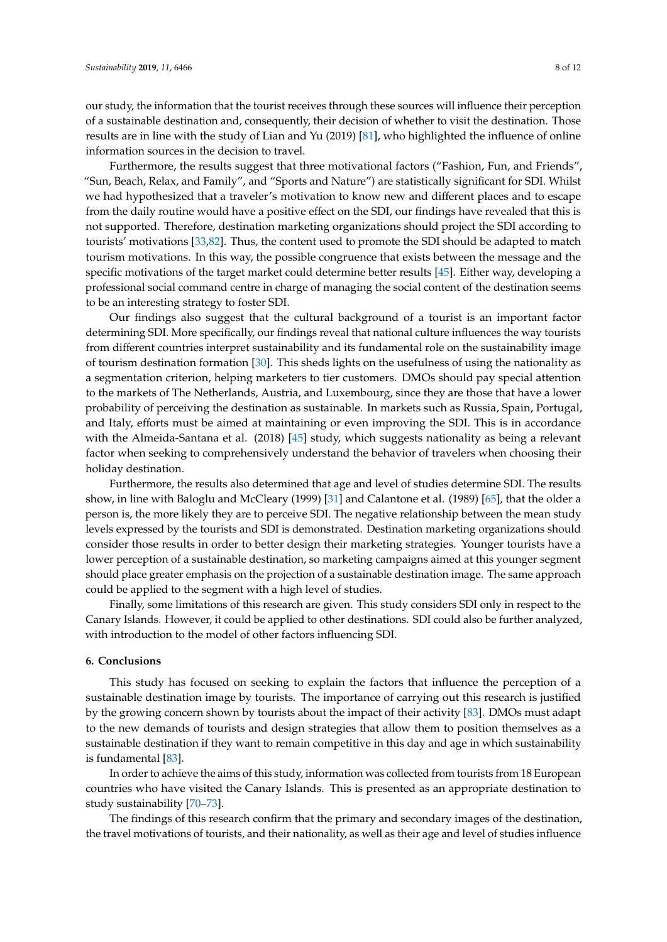our study, the information that the tourist receives through these sources will influence their perception of a sustainable destination and, consequently, their decision of whether to visit the destination. Those results are in line with the study of Lian and Yu (2019) [\[81\]](#page-11-8), who highlighted the influence of online information sources in the decision to travel.

Furthermore, the results suggest that three motivational factors ("Fashion, Fun, and Friends", "Sun, Beach, Relax, and Family", and "Sports and Nature") are statistically significant for SDI. Whilst we had hypothesized that a traveler's motivation to know new and different places and to escape from the daily routine would have a positive effect on the SDI, our findings have revealed that this is not supported. Therefore, destination marketing organizations should project the SDI according to tourists' motivations [\[33](#page-9-10)[,82\]](#page-11-9). Thus, the content used to promote the SDI should be adapted to match tourism motivations. In this way, the possible congruence that exists between the message and the specific motivations of the target market could determine better results [\[45\]](#page-9-20). Either way, developing a professional social command centre in charge of managing the social content of the destination seems to be an interesting strategy to foster SDI.

Our findings also suggest that the cultural background of a tourist is an important factor determining SDI. More specifically, our findings reveal that national culture influences the way tourists from different countries interpret sustainability and its fundamental role on the sustainability image of tourism destination formation [\[30\]](#page-9-7). This sheds lights on the usefulness of using the nationality as a segmentation criterion, helping marketers to tier customers. DMOs should pay special attention to the markets of The Netherlands, Austria, and Luxembourg, since they are those that have a lower probability of perceiving the destination as sustainable. In markets such as Russia, Spain, Portugal, and Italy, efforts must be aimed at maintaining or even improving the SDI. This is in accordance with the Almeida-Santana et al. (2018) [\[45\]](#page-9-20) study, which suggests nationality as being a relevant factor when seeking to comprehensively understand the behavior of travelers when choosing their holiday destination.

Furthermore, the results also determined that age and level of studies determine SDI. The results show, in line with Baloglu and McCleary (1999) [\[31\]](#page-9-8) and Calantone et al. (1989) [\[65\]](#page-10-12), that the older a person is, the more likely they are to perceive SDI. The negative relationship between the mean study levels expressed by the tourists and SDI is demonstrated. Destination marketing organizations should consider those results in order to better design their marketing strategies. Younger tourists have a lower perception of a sustainable destination, so marketing campaigns aimed at this younger segment should place greater emphasis on the projection of a sustainable destination image. The same approach could be applied to the segment with a high level of studies.

Finally, some limitations of this research are given. This study considers SDI only in respect to the Canary Islands. However, it could be applied to other destinations. SDI could also be further analyzed, with introduction to the model of other factors influencing SDI.

#### **6. Conclusions**

This study has focused on seeking to explain the factors that influence the perception of a sustainable destination image by tourists. The importance of carrying out this research is justified by the growing concern shown by tourists about the impact of their activity [\[83\]](#page-11-10). DMOs must adapt to the new demands of tourists and design strategies that allow them to position themselves as a sustainable destination if they want to remain competitive in this day and age in which sustainability is fundamental [\[83\]](#page-11-10).

In order to achieve the aims of this study, information was collected from tourists from 18 European countries who have visited the Canary Islands. This is presented as an appropriate destination to study sustainability [\[70](#page-10-17)[–73\]](#page-11-0).

The findings of this research confirm that the primary and secondary images of the destination, the travel motivations of tourists, and their nationality, as well as their age and level of studies influence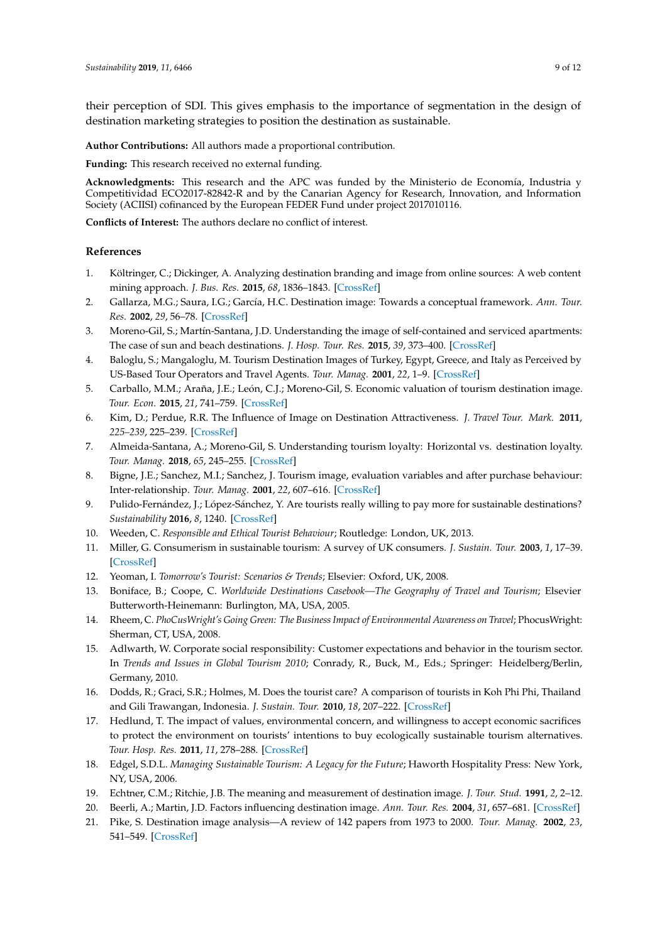their perception of SDI. This gives emphasis to the importance of segmentation in the design of destination marketing strategies to position the destination as sustainable.

**Author Contributions:** All authors made a proportional contribution.

**Funding:** This research received no external funding.

**Acknowledgments:** This research and the APC was funded by the Ministerio de Economía, Industria y Competitividad ECO2017-82842-R and by the Canarian Agency for Research, Innovation, and Information Society (ACIISI) cofinanced by the European FEDER Fund under project 2017010116.

**Conflicts of Interest:** The authors declare no conflict of interest.

## **References**

- <span id="page-8-0"></span>1. Költringer, C.; Dickinger, A. Analyzing destination branding and image from online sources: A web content mining approach. *J. Bus. Res.* **2015**, *68*, 1836–1843. [\[CrossRef\]](http://dx.doi.org/10.1016/j.jbusres.2015.01.011)
- 2. Gallarza, M.G.; Saura, I.G.; García, H.C. Destination image: Towards a conceptual framework. *Ann. Tour. Res.* **2002**, *29*, 56–78. [\[CrossRef\]](http://dx.doi.org/10.1016/S0160-7383(01)00031-7)
- <span id="page-8-1"></span>3. Moreno-Gil, S.; Martín-Santana, J.D. Understanding the image of self-contained and serviced apartments: The case of sun and beach destinations. *J. Hosp. Tour. Res.* **2015**, *39*, 373–400. [\[CrossRef\]](http://dx.doi.org/10.1177/1096348013491594)
- <span id="page-8-2"></span>4. Baloglu, S.; Mangaloglu, M. Tourism Destination Images of Turkey, Egypt, Greece, and Italy as Perceived by US-Based Tour Operators and Travel Agents. *Tour. Manag.* **2001**, *22*, 1–9. [\[CrossRef\]](http://dx.doi.org/10.1016/S0261-5177(00)00030-3)
- 5. Carballo, M.M.; Araña, J.E.; León, C.J.; Moreno-Gil, S. Economic valuation of tourism destination image. *Tour. Econ.* **2015**, *21*, 741–759. [\[CrossRef\]](http://dx.doi.org/10.5367/te.2014.0381)
- <span id="page-8-3"></span>6. Kim, D.; Perdue, R.R. The Influence of Image on Destination Attractiveness. *J. Travel Tour. Mark.* **2011**, *225–239*, 225–239. [\[CrossRef\]](http://dx.doi.org/10.1080/10548408.2011.562850)
- <span id="page-8-4"></span>7. Almeida-Santana, A.; Moreno-Gil, S. Understanding tourism loyalty: Horizontal vs. destination loyalty. *Tour. Manag.* **2018**, *65*, 245–255. [\[CrossRef\]](http://dx.doi.org/10.1016/j.tourman.2017.10.011)
- <span id="page-8-5"></span>8. Bigne, J.E.; Sanchez, M.I.; Sanchez, J. Tourism image, evaluation variables and after purchase behaviour: Inter-relationship. *Tour. Manag.* **2001**, *22*, 607–616. [\[CrossRef\]](http://dx.doi.org/10.1016/S0261-5177(01)00035-8)
- <span id="page-8-6"></span>9. Pulido-Fernández, J.; López-Sánchez, Y. Are tourists really willing to pay more for sustainable destinations? *Sustainability* **2016**, *8*, 1240. [\[CrossRef\]](http://dx.doi.org/10.3390/su8121240)
- <span id="page-8-7"></span>10. Weeden, C. *Responsible and Ethical Tourist Behaviour*; Routledge: London, UK, 2013.
- <span id="page-8-8"></span>11. Miller, G. Consumerism in sustainable tourism: A survey of UK consumers. *J. Sustain. Tour.* **2003**, *1*, 17–39. [\[CrossRef\]](http://dx.doi.org/10.1080/09669580308667191)
- 12. Yeoman, I. *Tomorrow's Tourist: Scenarios & Trends*; Elsevier: Oxford, UK, 2008.
- <span id="page-8-9"></span>13. Boniface, B.; Coope, C. *Worldwide Destinations Casebook—The Geography of Travel and Tourism*; Elsevier Butterworth-Heinemann: Burlington, MA, USA, 2005.
- <span id="page-8-10"></span>14. Rheem, C. *PhoCusWright's Going Green: The Business Impact of Environmental Awareness on Travel*; PhocusWright: Sherman, CT, USA, 2008.
- 15. Adlwarth, W. Corporate social responsibility: Customer expectations and behavior in the tourism sector. In *Trends and Issues in Global Tourism 2010*; Conrady, R., Buck, M., Eds.; Springer: Heidelberg/Berlin, Germany, 2010.
- 16. Dodds, R.; Graci, S.R.; Holmes, M. Does the tourist care? A comparison of tourists in Koh Phi Phi, Thailand and Gili Trawangan, Indonesia. *J. Sustain. Tour.* **2010**, *18*, 207–222. [\[CrossRef\]](http://dx.doi.org/10.1080/09669580903215162)
- <span id="page-8-11"></span>17. Hedlund, T. The impact of values, environmental concern, and willingness to accept economic sacrifices to protect the environment on tourists' intentions to buy ecologically sustainable tourism alternatives. *Tour. Hosp. Res.* **2011**, *11*, 278–288. [\[CrossRef\]](http://dx.doi.org/10.1177/1467358411423330)
- <span id="page-8-12"></span>18. Edgel, S.D.L. *Managing Sustainable Tourism: A Legacy for the Future*; Haworth Hospitality Press: New York, NY, USA, 2006.
- <span id="page-8-13"></span>19. Echtner, C.M.; Ritchie, J.B. The meaning and measurement of destination image. *J. Tour. Stud.* **1991**, *2*, 2–12.
- <span id="page-8-14"></span>20. Beerli, A.; Martin, J.D. Factors influencing destination image. *Ann. Tour. Res.* **2004**, *31*, 657–681. [\[CrossRef\]](http://dx.doi.org/10.1016/j.annals.2004.01.010)
- <span id="page-8-15"></span>21. Pike, S. Destination image analysis—A review of 142 papers from 1973 to 2000. *Tour. Manag.* **2002**, *23*, 541–549. [\[CrossRef\]](http://dx.doi.org/10.1016/S0261-5177(02)00005-5)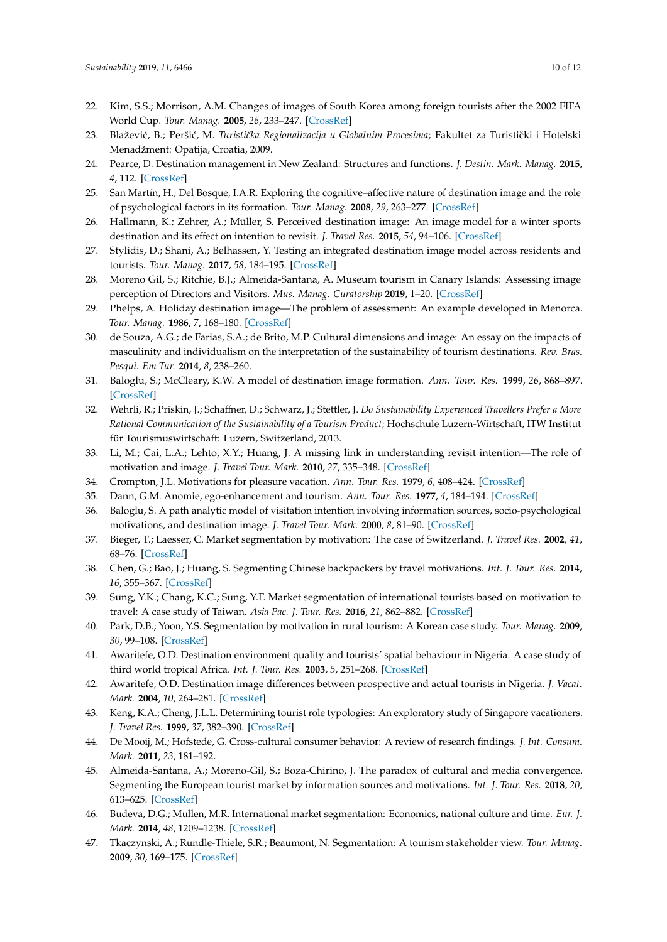- <span id="page-9-0"></span>22. Kim, S.S.; Morrison, A.M. Changes of images of South Korea among foreign tourists after the 2002 FIFA World Cup. *Tour. Manag.* **2005**, *26*, 233–247. [\[CrossRef\]](http://dx.doi.org/10.1016/j.tourman.2003.11.003)
- <span id="page-9-1"></span>23. Blažević, B.; Peršić, M. *Turistička Regionalizacija u Globalnim Procesima*; Fakultet za Turistički i Hotelski Menadžment: Opatija, Croatia, 2009.
- <span id="page-9-2"></span>24. Pearce, D. Destination management in New Zealand: Structures and functions. *J. Destin. Mark. Manag.* **2015**, *4*, 112. [\[CrossRef\]](http://dx.doi.org/10.1016/j.jdmm.2014.12.001)
- <span id="page-9-3"></span>25. San Martín, H.; Del Bosque, I.A.R. Exploring the cognitive–affective nature of destination image and the role of psychological factors in its formation. *Tour. Manag.* **2008**, *29*, 263–277. [\[CrossRef\]](http://dx.doi.org/10.1016/j.tourman.2007.03.012)
- 26. Hallmann, K.; Zehrer, A.; Müller, S. Perceived destination image: An image model for a winter sports destination and its effect on intention to revisit. *J. Travel Res.* **2015**, *54*, 94–106. [\[CrossRef\]](http://dx.doi.org/10.1177/0047287513513161)
- <span id="page-9-4"></span>27. Stylidis, D.; Shani, A.; Belhassen, Y. Testing an integrated destination image model across residents and tourists. *Tour. Manag.* **2017**, *58*, 184–195. [\[CrossRef\]](http://dx.doi.org/10.1016/j.tourman.2016.10.014)
- <span id="page-9-5"></span>28. Moreno Gil, S.; Ritchie, B.J.; Almeida-Santana, A. Museum tourism in Canary Islands: Assessing image perception of Directors and Visitors. *Mus. Manag. Curatorship* **2019**, 1–20. [\[CrossRef\]](http://dx.doi.org/10.1080/09647775.2019.1590728)
- <span id="page-9-6"></span>29. Phelps, A. Holiday destination image—The problem of assessment: An example developed in Menorca. *Tour. Manag.* **1986**, *7*, 168–180. [\[CrossRef\]](http://dx.doi.org/10.1016/0261-5177(86)90003-8)
- <span id="page-9-7"></span>30. de Souza, A.G.; de Farias, S.A.; de Brito, M.P. Cultural dimensions and image: An essay on the impacts of masculinity and individualism on the interpretation of the sustainability of tourism destinations. *Rev. Bras. Pesqui. Em Tur.* **2014**, *8*, 238–260.
- <span id="page-9-8"></span>31. Baloglu, S.; McCleary, K.W. A model of destination image formation. *Ann. Tour. Res.* **1999**, *26*, 868–897. [\[CrossRef\]](http://dx.doi.org/10.1016/S0160-7383(99)00030-4)
- <span id="page-9-9"></span>32. Wehrli, R.; Priskin, J.; Schaffner, D.; Schwarz, J.; Stettler, J. *Do Sustainability Experienced Travellers Prefer a More Rational Communication of the Sustainability of a Tourism Product*; Hochschule Luzern-Wirtschaft, ITW Institut für Tourismuswirtschaft: Luzern, Switzerland, 2013.
- <span id="page-9-10"></span>33. Li, M.; Cai, L.A.; Lehto, X.Y.; Huang, J. A missing link in understanding revisit intention—The role of motivation and image. *J. Travel Tour. Mark.* **2010**, *27*, 335–348. [\[CrossRef\]](http://dx.doi.org/10.1080/10548408.2010.481559)
- <span id="page-9-11"></span>34. Crompton, J.L. Motivations for pleasure vacation. *Ann. Tour. Res.* **1979**, *6*, 408–424. [\[CrossRef\]](http://dx.doi.org/10.1016/0160-7383(79)90004-5)
- <span id="page-9-12"></span>35. Dann, G.M. Anomie, ego-enhancement and tourism. *Ann. Tour. Res.* **1977**, *4*, 184–194. [\[CrossRef\]](http://dx.doi.org/10.1016/0160-7383(77)90037-8)
- <span id="page-9-13"></span>36. Baloglu, S. A path analytic model of visitation intention involving information sources, socio-psychological motivations, and destination image. *J. Travel Tour. Mark.* **2000**, *8*, 81–90. [\[CrossRef\]](http://dx.doi.org/10.1300/J073v08n03_05)
- <span id="page-9-14"></span>37. Bieger, T.; Laesser, C. Market segmentation by motivation: The case of Switzerland. *J. Travel Res.* **2002**, *41*, 68–76. [\[CrossRef\]](http://dx.doi.org/10.1177/004728750204100110)
- 38. Chen, G.; Bao, J.; Huang, S. Segmenting Chinese backpackers by travel motivations. *Int. J. Tour. Res.* **2014**, *16*, 355–367. [\[CrossRef\]](http://dx.doi.org/10.1002/jtr.1928)
- <span id="page-9-15"></span>39. Sung, Y.K.; Chang, K.C.; Sung, Y.F. Market segmentation of international tourists based on motivation to travel: A case study of Taiwan. *Asia Pac. J. Tour. Res.* **2016**, *21*, 862–882. [\[CrossRef\]](http://dx.doi.org/10.1080/10941665.2015.1080175)
- <span id="page-9-16"></span>40. Park, D.B.; Yoon, Y.S. Segmentation by motivation in rural tourism: A Korean case study. *Tour. Manag.* **2009**, *30*, 99–108. [\[CrossRef\]](http://dx.doi.org/10.1016/j.tourman.2008.03.011)
- <span id="page-9-17"></span>41. Awaritefe, O.D. Destination environment quality and tourists' spatial behaviour in Nigeria: A case study of third world tropical Africa. *Int. J. Tour. Res.* **2003**, *5*, 251–268. [\[CrossRef\]](http://dx.doi.org/10.1002/jtr.435)
- 42. Awaritefe, O.D. Destination image differences between prospective and actual tourists in Nigeria. *J. Vacat. Mark.* **2004**, *10*, 264–281. [\[CrossRef\]](http://dx.doi.org/10.1177/135676670401000306)
- <span id="page-9-18"></span>43. Keng, K.A.; Cheng, J.L.L. Determining tourist role typologies: An exploratory study of Singapore vacationers. *J. Travel Res.* **1999**, *37*, 382–390. [\[CrossRef\]](http://dx.doi.org/10.1177/004728759903700408)
- <span id="page-9-19"></span>44. De Mooij, M.; Hofstede, G. Cross-cultural consumer behavior: A review of research findings. *J. Int. Consum. Mark.* **2011**, *23*, 181–192.
- <span id="page-9-20"></span>45. Almeida-Santana, A.; Moreno-Gil, S.; Boza-Chirino, J. The paradox of cultural and media convergence. Segmenting the European tourist market by information sources and motivations. *Int. J. Tour. Res.* **2018**, *20*, 613–625. [\[CrossRef\]](http://dx.doi.org/10.1002/jtr.2210)
- 46. Budeva, D.G.; Mullen, M.R. International market segmentation: Economics, national culture and time. *Eur. J. Mark.* **2014**, *48*, 1209–1238. [\[CrossRef\]](http://dx.doi.org/10.1108/EJM-07-2010-0394)
- <span id="page-9-21"></span>47. Tkaczynski, A.; Rundle-Thiele, S.R.; Beaumont, N. Segmentation: A tourism stakeholder view. *Tour. Manag.* **2009**, *30*, 169–175. [\[CrossRef\]](http://dx.doi.org/10.1016/j.tourman.2008.05.010)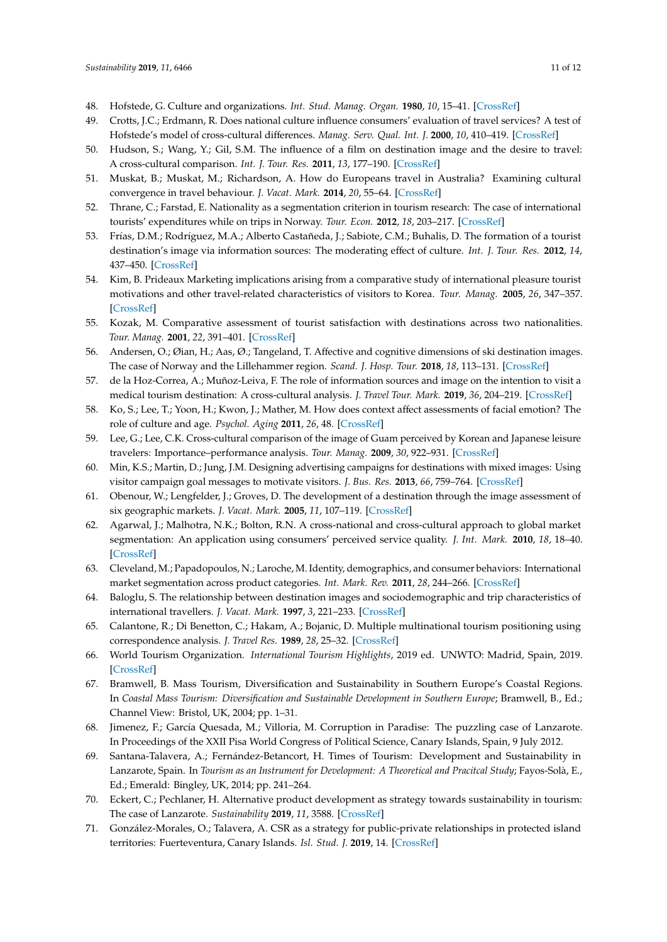- <span id="page-10-0"></span>48. Hofstede, G. Culture and organizations. *Int. Stud. Manag. Organ.* **1980**, *10*, 15–41. [\[CrossRef\]](http://dx.doi.org/10.1080/00208825.1980.11656300)
- <span id="page-10-1"></span>49. Crotts, J.C.; Erdmann, R. Does national culture influence consumers' evaluation of travel services? A test of Hofstede's model of cross-cultural differences. *Manag. Serv. Qual. Int. J.* **2000**, *10*, 410–419. [\[CrossRef\]](http://dx.doi.org/10.1108/09604520010351167)
- 50. Hudson, S.; Wang, Y.; Gil, S.M. The influence of a film on destination image and the desire to travel: A cross-cultural comparison. *Int. J. Tour. Res.* **2011**, *13*, 177–190. [\[CrossRef\]](http://dx.doi.org/10.1002/jtr.808)
- 51. Muskat, B.; Muskat, M.; Richardson, A. How do Europeans travel in Australia? Examining cultural convergence in travel behaviour. *J. Vacat. Mark.* **2014**, *20*, 55–64. [\[CrossRef\]](http://dx.doi.org/10.1177/1356766713490164)
- <span id="page-10-2"></span>52. Thrane, C.; Farstad, E. Nationality as a segmentation criterion in tourism research: The case of international tourists' expenditures while on trips in Norway. *Tour. Econ.* **2012**, *18*, 203–217. [\[CrossRef\]](http://dx.doi.org/10.5367/te.2012.0110)
- <span id="page-10-3"></span>53. Frías, D.M.; Rodríguez, M.A.; Alberto Castañeda, J.; Sabiote, C.M.; Buhalis, D. The formation of a tourist destination's image via information sources: The moderating effect of culture. *Int. J. Tour. Res.* **2012**, *14*, 437–450. [\[CrossRef\]](http://dx.doi.org/10.1002/jtr.870)
- 54. Kim, B. Prideaux Marketing implications arising from a comparative study of international pleasure tourist motivations and other travel-related characteristics of visitors to Korea. *Tour. Manag.* **2005**, *26*, 347–357. [\[CrossRef\]](http://dx.doi.org/10.1016/j.tourman.2003.09.022)
- <span id="page-10-18"></span>55. Kozak, M. Comparative assessment of tourist satisfaction with destinations across two nationalities. *Tour. Manag.* **2001**, *22*, 391–401. [\[CrossRef\]](http://dx.doi.org/10.1016/S0261-5177(00)00064-9)
- 56. Andersen, O.; Øian, H.; Aas, Ø.; Tangeland, T. Affective and cognitive dimensions of ski destination images. The case of Norway and the Lillehammer region. *Scand. J. Hosp. Tour.* **2018**, *18*, 113–131. [\[CrossRef\]](http://dx.doi.org/10.1080/15022250.2017.1318715)
- <span id="page-10-4"></span>57. de la Hoz-Correa, A.; Muñoz-Leiva, F. The role of information sources and image on the intention to visit a medical tourism destination: A cross-cultural analysis. *J. Travel Tour. Mark.* **2019**, *36*, 204–219. [\[CrossRef\]](http://dx.doi.org/10.1080/10548408.2018.1507865)
- <span id="page-10-5"></span>58. Ko, S.; Lee, T.; Yoon, H.; Kwon, J.; Mather, M. How does context affect assessments of facial emotion? The role of culture and age. *Psychol. Aging* **2011**, *26*, 48. [\[CrossRef\]](http://dx.doi.org/10.1037/a0020222)
- <span id="page-10-6"></span>59. Lee, G.; Lee, C.K. Cross-cultural comparison of the image of Guam perceived by Korean and Japanese leisure travelers: Importance–performance analysis. *Tour. Manag.* **2009**, *30*, 922–931. [\[CrossRef\]](http://dx.doi.org/10.1016/j.tourman.2008.11.013)
- <span id="page-10-7"></span>60. Min, K.S.; Martin, D.; Jung, J.M. Designing advertising campaigns for destinations with mixed images: Using visitor campaign goal messages to motivate visitors. *J. Bus. Res.* **2013**, *66*, 759–764. [\[CrossRef\]](http://dx.doi.org/10.1016/j.jbusres.2011.09.015)
- <span id="page-10-8"></span>61. Obenour, W.; Lengfelder, J.; Groves, D. The development of a destination through the image assessment of six geographic markets. *J. Vacat. Mark.* **2005**, *11*, 107–119. [\[CrossRef\]](http://dx.doi.org/10.1177/1356766705052569)
- <span id="page-10-9"></span>62. Agarwal, J.; Malhotra, N.K.; Bolton, R.N. A cross-national and cross-cultural approach to global market segmentation: An application using consumers' perceived service quality. *J. Int. Mark.* **2010**, *18*, 18–40. [\[CrossRef\]](http://dx.doi.org/10.1509/jimk.18.3.18)
- <span id="page-10-10"></span>63. Cleveland, M.; Papadopoulos, N.; Laroche, M. Identity, demographics, and consumer behaviors: International market segmentation across product categories. *Int. Mark. Rev.* **2011**, *28*, 244–266. [\[CrossRef\]](http://dx.doi.org/10.1108/02651331111132848)
- <span id="page-10-11"></span>64. Baloglu, S. The relationship between destination images and sociodemographic and trip characteristics of international travellers. *J. Vacat. Mark.* **1997**, *3*, 221–233. [\[CrossRef\]](http://dx.doi.org/10.1177/135676679700300304)
- <span id="page-10-12"></span>65. Calantone, R.; Di Benetton, C.; Hakam, A.; Bojanic, D. Multiple multinational tourism positioning using correspondence analysis. *J. Travel Res.* **1989**, *28*, 25–32. [\[CrossRef\]](http://dx.doi.org/10.1177/004728758902800207)
- <span id="page-10-13"></span>66. World Tourism Organization. *International Tourism Highlights*, 2019 ed. UNWTO: Madrid, Spain, 2019. [\[CrossRef\]](http://dx.doi.org/10.18111/9789284421152)
- <span id="page-10-14"></span>67. Bramwell, B. Mass Tourism, Diversification and Sustainability in Southern Europe's Coastal Regions. In *Coastal Mass Tourism: Diversification and Sustainable Development in Southern Europe*; Bramwell, B., Ed.; Channel View: Bristol, UK, 2004; pp. 1–31.
- <span id="page-10-15"></span>68. Jimenez, F.; García Quesada, M.; Villoria, M. Corruption in Paradise: The puzzling case of Lanzarote. In Proceedings of the XXII Pisa World Congress of Political Science, Canary Islands, Spain, 9 July 2012.
- <span id="page-10-16"></span>69. Santana-Talavera, A.; Fernández-Betancort, H. Times of Tourism: Development and Sustainability in Lanzarote, Spain. In *Tourism as an Instrument for Development: A Theoretical and Pracitcal Study*; Fayos-Solà, E., Ed.; Emerald: Bingley, UK, 2014; pp. 241–264.
- <span id="page-10-17"></span>70. Eckert, C.; Pechlaner, H. Alternative product development as strategy towards sustainability in tourism: The case of Lanzarote. *Sustainability* **2019**, *11*, 3588. [\[CrossRef\]](http://dx.doi.org/10.3390/su11133588)
- 71. González-Morales, O.; Talavera, A. CSR as a strategy for public-private relationships in protected island territories: Fuerteventura, Canary Islands. *Isl. Stud. J.* **2019**, 14. [\[CrossRef\]](http://dx.doi.org/10.24043/isj.83)